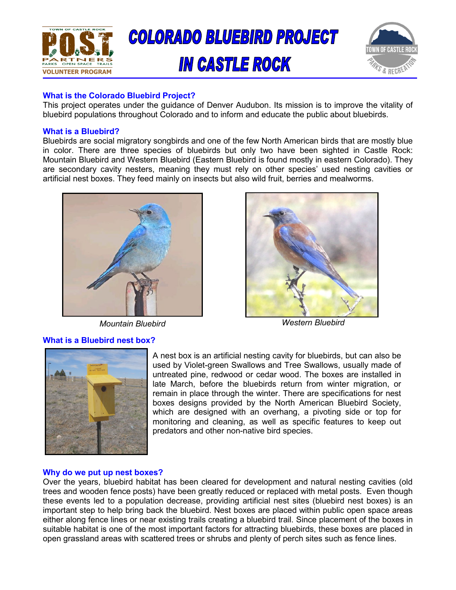

# **IN CASTLE ROCK**



## **What is the Colorado Bluebird Project?**

This project operates under the guidance of Denver Audubon. Its mission is to improve the vitality of bluebird populations throughout Colorado and to inform and educate the public about bluebirds.

## **What is a Bluebird?**

Bluebirds are social migratory songbirds and one of the few North American birds that are mostly blue in color. There are three species of bluebirds but only two have been sighted in Castle Rock: Mountain Bluebird and Western Bluebird (Eastern Bluebird is found mostly in eastern Colorado). They are secondary cavity nesters, meaning they must rely on other species' used nesting cavities or artificial nest boxes. They feed mainly on insects but also wild fruit, berries and mealworms.



## **What is a Bluebird nest box?**



*Mountain Bluebird Western Bluebird*



A nest box is an artificial nesting cavity for bluebirds, but can also be used by Violet-green Swallows and Tree Swallows, usually made of untreated pine, redwood or cedar wood. The boxes are installed in late March, before the bluebirds return from winter migration, or remain in place through the winter. There are specifications for nest boxes designs provided by the North American Bluebird Society, which are designed with an overhang, a pivoting side or top for monitoring and cleaning, as well as specific features to keep out predators and other non-native bird species.

### **Why do we put up nest boxes?**

Over the years, bluebird habitat has been cleared for development and natural nesting cavities (old trees and wooden fence posts) have been greatly reduced or replaced with metal posts. Even though these events led to a population decrease, providing artificial nest sites (bluebird nest boxes) is an important step to help bring back the bluebird. Nest boxes are placed within public open space areas either along fence lines or near existing trails creating a bluebird trail. Since placement of the boxes in suitable habitat is one of the most important factors for attracting bluebirds, these boxes are placed in open grassland areas with scattered trees or shrubs and plenty of perch sites such as fence lines.